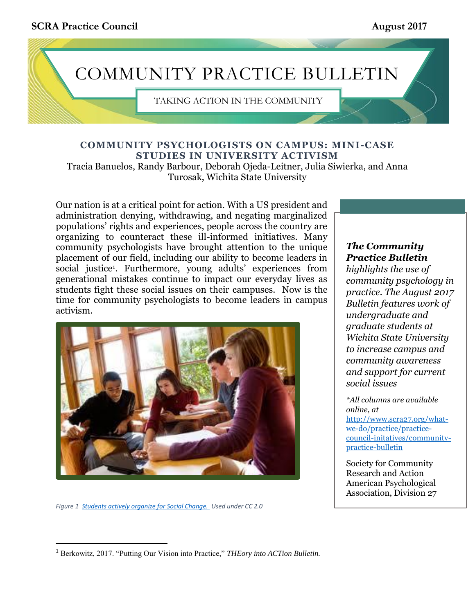**SCRA Practice Council August 2017** 

# COMMUNITY PRACTICE BULLETIN

TAKING ACTION IN THE COMMUNITY

### **COMMUNITY PSYCHOLOGISTS ON CAMPUS: MINI-CASE STUDIES IN UNIVERSITY ACTIVISM**

Tracia Banuelos, Randy Barbour, Deborah Ojeda-Leitner, Julia Siwierka, and Anna Turosak, Wichita State University

Our nation is at a critical point for action. With a US president and administration denying, withdrawing, and negating marginalized populations' rights and experiences, people across the country are organizing to counteract these ill-informed initiatives. Many community psychologists have brought attention to the unique placement of our field, including our ability to become leaders in social justice<sup>1</sup> . Furthermore, young adults' experiences from generational mistakes continue to impact our everyday lives as students fight these social issues on their campuses. Now is the time for community psychologists to become leaders in campus activism.



*Figure 1 [Students actively organize for Social Change. U](http://2.bp.blogspot.com/-MMAyIFW9EiM/Uhym1OCD1rI/AAAAAAAAACU/juqyahwoJsk/s1600/images+(5).jpg)sed under CC 2.0* 

 $\overline{\phantom{a}}$ 

### *The Community Practice Bulletin*

*highlights the use of community psychology in practice. The August 2017 Bulletin features work of undergraduate and graduate students at Wichita State University to increase campus and community awareness and support for current social issues*

*\*All columns are available online, at*  [http://www.scra27.org/what](http://www.scra27.org/what-we-do/practice/practice-council-initatives/community-practice-bulletin)[we-do/practice/practice](http://www.scra27.org/what-we-do/practice/practice-council-initatives/community-practice-bulletin)[council-initatives/community](http://www.scra27.org/what-we-do/practice/practice-council-initatives/community-practice-bulletin)[practice-bulletin](http://www.scra27.org/what-we-do/practice/practice-council-initatives/community-practice-bulletin)

Society for Community Research and Action American Psychological Association, Division 27

<sup>1</sup> Berkowitz, 2017. "Putting Our Vision into Practice," *THEory into ACTion Bulletin.*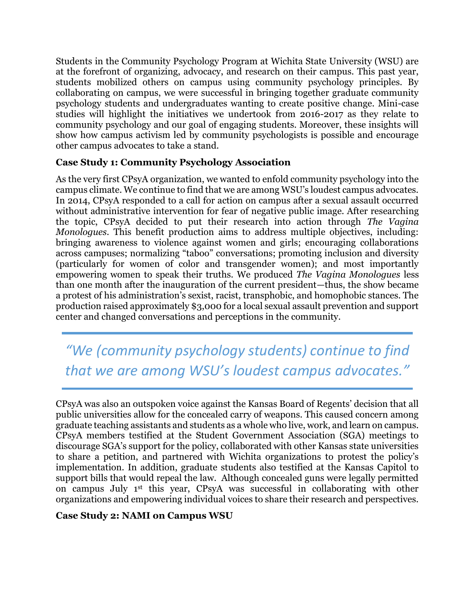Students in the Community Psychology Program at Wichita State University (WSU) are at the forefront of organizing, advocacy, and research on their campus. This past year, students mobilized others on campus using community psychology principles. By collaborating on campus, we were successful in bringing together graduate community psychology students and undergraduates wanting to create positive change. Mini-case studies will highlight the initiatives we undertook from 2016-2017 as they relate to community psychology and our goal of engaging students. Moreover, these insights will show how campus activism led by community psychologists is possible and encourage other campus advocates to take a stand.

## **Case Study 1: Community Psychology Association**

As the very first CPsyA organization, we wanted to enfold community psychology into the campus climate. We continue to find that we are among WSU's loudest campus advocates. In 2014, CPsyA responded to a call for action on campus after a sexual assault occurred without administrative intervention for fear of negative public image. After researching the topic, CPsyA decided to put their research into action through *The Vagina Monologues*. This benefit production aims to address multiple objectives, including: bringing awareness to violence against women and girls; encouraging collaborations across campuses; normalizing "taboo" conversations; promoting inclusion and diversity (particularly for women of color and transgender women); and most importantly empowering women to speak their truths. We produced *The Vagina Monologues* less than one month after the inauguration of the current president—thus, the show became a protest of his administration's sexist, racist, transphobic, and homophobic stances. The production raised approximately \$3,000 for a local sexual assault prevention and support center and changed conversations and perceptions in the community.

*"We (community psychology students) continue to find that we are among WSU's loudest campus advocates."*

CPsyA was also an outspoken voice against the Kansas Board of Regents' decision that all public universities allow for the concealed carry of weapons. This caused concern among graduate teaching assistants and students as a whole who live, work, and learn on campus. CPsyA members testified at the Student Government Association (SGA) meetings to discourage SGA's support for the policy, collaborated with other Kansas state universities to share a petition, and partnered with Wichita organizations to protest the policy's implementation. In addition, graduate students also testified at the Kansas Capitol to support bills that would repeal the law. Although concealed guns were legally permitted on campus July 1st this year, CPsyA was successful in collaborating with other organizations and empowering individual voices to share their research and perspectives.

#### **Case Study 2: NAMI on Campus WSU**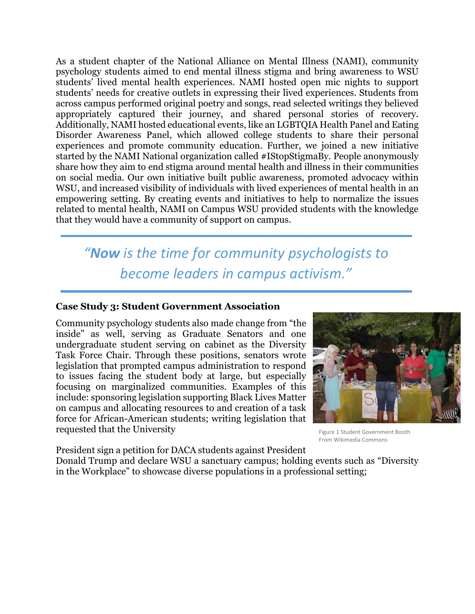As a student chapter of the National Alliance on Mental Illness (NAMI), community psychology students aimed to end mental illness stigma and bring awareness to WSU students' lived mental health experiences. NAMI hosted open mic nights to support students' needs for creative outlets in expressing their lived experiences. Students from across campus performed original poetry and songs, read selected writings they believed appropriately captured their journey, and shared personal stories of recovery. Additionally, NAMI hosted educational events, like an LGBTQIA Health Panel and Eating Disorder Awareness Panel, which allowed college students to share their personal experiences and promote community education. Further, we joined a new initiative started by the NAMI National organization called #IStopStigmaBy. People anonymously share how they aim to end stigma around mental health and illness in their communities on social media. Our own initiative built public awareness, promoted advocacy within WSU, and increased visibility of individuals with lived experiences of mental health in an empowering setting. By creating events and initiatives to help to normalize the issues related to mental health, NAMI on Campus WSU provided students with the knowledge that they would have a community of support on campus.

*"Now is the time for community psychologists to become leaders in campus activism."*

#### **Case Study 3: Student Government Association**

Community psychology students also made change from "the inside" as well, serving as Graduate Senators and one undergraduate student serving on cabinet as the Diversity Task Force Chair. Through these positions, senators wrote legislation that prompted campus administration to respond to issues facing the student body at large, but especially focusing on marginalized communities. Examples of this include: sponsoring legislation supporting Black Lives Matter on campus and allocating resources to and creation of a task force for African-American students; writing legislation that requested that the University



Figure 1 Student Government Booth From Wikimedia Commons

President sign a petition for DACA students against President Donald Trump and declare WSU a sanctuary campus; holding events such as "Diversity in the Workplace" to showcase diverse populations in a professional setting;